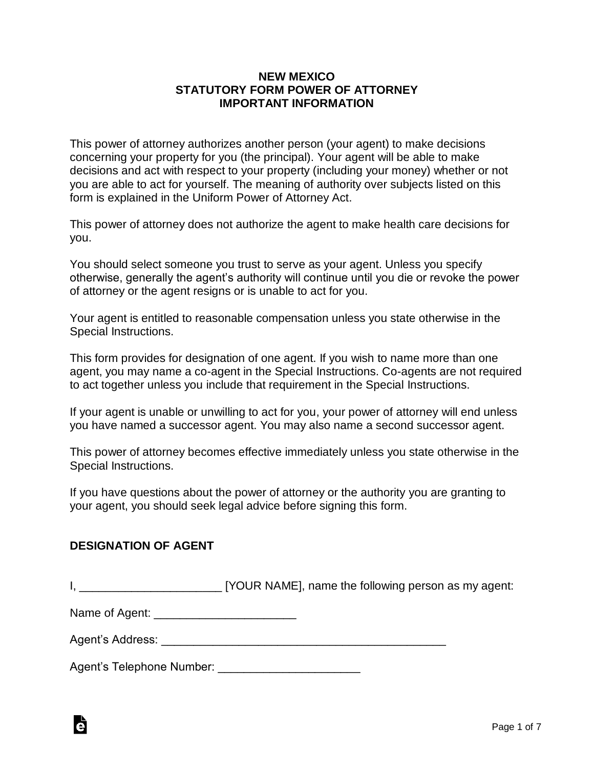#### **NEW MEXICO STATUTORY FORM POWER OF ATTORNEY IMPORTANT INFORMATION**

This power of attorney authorizes another person (your agent) to make decisions concerning your property for you (the principal). Your agent will be able to make decisions and act with respect to your property (including your money) whether or not you are able to act for yourself. The meaning of authority over subjects listed on this form is explained in the Uniform Power of Attorney Act.

This power of attorney does not authorize the agent to make health care decisions for you.

You should select someone you trust to serve as your agent. Unless you specify otherwise, generally the agent's authority will continue until you die or revoke the power of attorney or the agent resigns or is unable to act for you.

Your agent is entitled to reasonable compensation unless you state otherwise in the Special Instructions.

This form provides for designation of one agent. If you wish to name more than one agent, you may name a co-agent in the Special Instructions. Co-agents are not required to act together unless you include that requirement in the Special Instructions.

If your agent is unable or unwilling to act for you, your power of attorney will end unless you have named a successor agent. You may also name a second successor agent.

This power of attorney becomes effective immediately unless you state otherwise in the Special Instructions.

If you have questions about the power of attorney or the authority you are granting to your agent, you should seek legal advice before signing this form.

#### **DESIGNATION OF AGENT**

à

I, **I, Equipment COUR NAME**], name the following person as my agent:

Name of Agent: \_\_\_\_\_\_\_\_\_\_\_\_\_\_\_\_\_\_\_\_\_\_

Agent's Address: **Example 20** and 20 and 20 and 20 and 20 and 20 and 20 and 20 and 20 and 20 and 20 and 20 and 20 and 20 and 20 and 20 and 20 and 20 and 20 and 20 and 20 and 20 and 20 and 20 and 20 and 20 and 20 and 20 and

Agent's Telephone Number: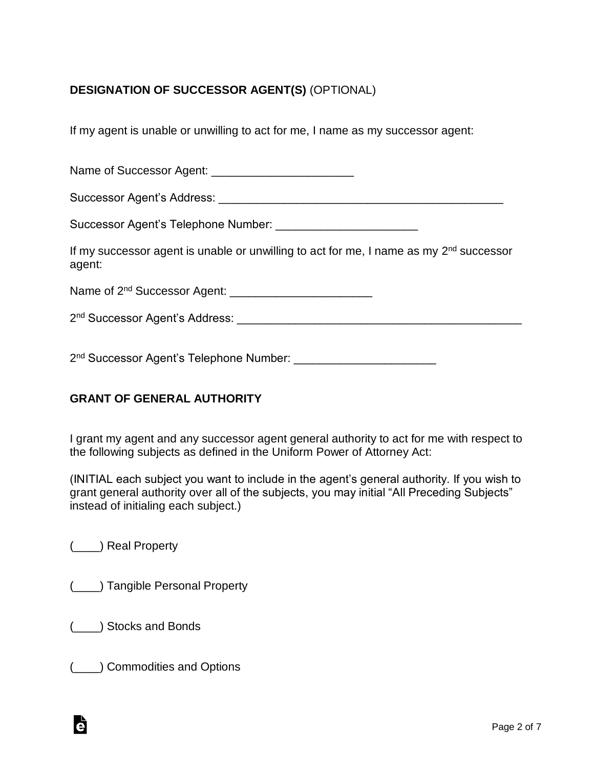# **DESIGNATION OF SUCCESSOR AGENT(S)** (OPTIONAL)

If my agent is unable or unwilling to act for me, I name as my successor agent:

Name of Successor Agent: \_\_\_\_\_\_\_\_\_\_\_\_\_\_\_\_\_\_\_\_\_\_ Successor Agent's Address: \_\_\_\_\_\_\_\_\_\_\_\_\_\_\_\_\_\_\_\_\_\_\_\_\_\_\_\_\_\_\_\_\_\_\_\_\_\_\_\_\_\_\_\_ Successor Agent's Telephone Number: If my successor agent is unable or unwilling to act for me, I name as my 2<sup>nd</sup> successor agent: Name of 2 nd Successor Agent: \_\_\_\_\_\_\_\_\_\_\_\_\_\_\_\_\_\_\_\_\_\_ 2 nd Successor Agent's Address: \_\_\_\_\_\_\_\_\_\_\_\_\_\_\_\_\_\_\_\_\_\_\_\_\_\_\_\_\_\_\_\_\_\_\_\_\_\_\_\_\_\_\_\_

2 nd Successor Agent's Telephone Number: \_\_\_\_\_\_\_\_\_\_\_\_\_\_\_\_\_\_\_\_\_\_

# **GRANT OF GENERAL AUTHORITY**

I grant my agent and any successor agent general authority to act for me with respect to the following subjects as defined in the Uniform Power of Attorney Act:

(INITIAL each subject you want to include in the agent's general authority. If you wish to grant general authority over all of the subjects, you may initial "All Preceding Subjects" instead of initialing each subject.)

(\_\_\_\_) Real Property

(\_\_\_\_) Tangible Personal Property

(\_\_\_\_) Stocks and Bonds

à

(\_\_\_\_) Commodities and Options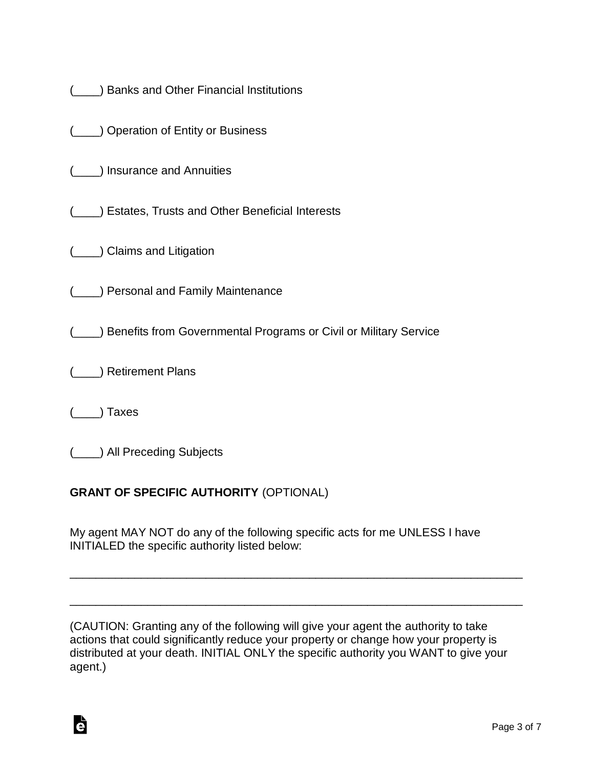|  |  |  | ) Banks and Other Financial Institutions |
|--|--|--|------------------------------------------|
|  |  |  |                                          |

|  |  |  | ( <sub>____</sub> ) Operation of Entity or Business |
|--|--|--|-----------------------------------------------------|
|--|--|--|-----------------------------------------------------|

(\_\_\_\_) Insurance and Annuities

(\_\_\_\_) Estates, Trusts and Other Beneficial Interests

(\_\_\_\_) Claims and Litigation

(\_\_\_\_) Personal and Family Maintenance

(\_\_\_\_) Benefits from Governmental Programs or Civil or Military Service

(\_\_\_\_) Retirement Plans

(\_\_\_\_) Taxes

Ġ

(\_\_\_\_) All Preceding Subjects

# **GRANT OF SPECIFIC AUTHORITY** (OPTIONAL)

My agent MAY NOT do any of the following specific acts for me UNLESS I have INITIALED the specific authority listed below:

(CAUTION: Granting any of the following will give your agent the authority to take actions that could significantly reduce your property or change how your property is distributed at your death. INITIAL ONLY the specific authority you WANT to give your agent.)

\_\_\_\_\_\_\_\_\_\_\_\_\_\_\_\_\_\_\_\_\_\_\_\_\_\_\_\_\_\_\_\_\_\_\_\_\_\_\_\_\_\_\_\_\_\_\_\_\_\_\_\_\_\_\_\_\_\_\_\_\_\_\_\_\_\_\_\_\_\_

\_\_\_\_\_\_\_\_\_\_\_\_\_\_\_\_\_\_\_\_\_\_\_\_\_\_\_\_\_\_\_\_\_\_\_\_\_\_\_\_\_\_\_\_\_\_\_\_\_\_\_\_\_\_\_\_\_\_\_\_\_\_\_\_\_\_\_\_\_\_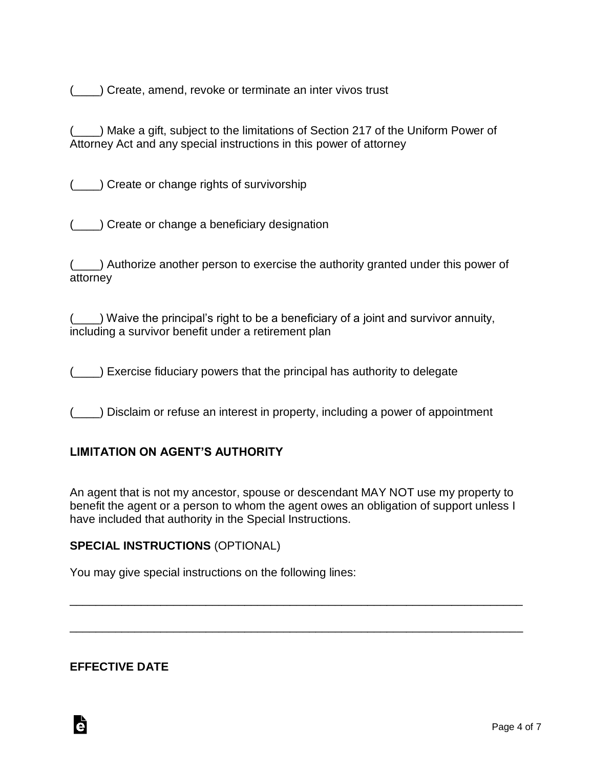(\_\_\_\_) Create, amend, revoke or terminate an inter vivos trust

(\_\_\_\_) Make a gift, subject to the limitations of Section 217 of the Uniform Power of Attorney Act and any special instructions in this power of attorney

(\_\_\_\_) Create or change rights of survivorship

(\_\_\_\_) Create or change a beneficiary designation

(\_\_\_\_) Authorize another person to exercise the authority granted under this power of attorney

(\_\_\_\_) Waive the principal's right to be a beneficiary of a joint and survivor annuity, including a survivor benefit under a retirement plan

(\_\_\_\_) Exercise fiduciary powers that the principal has authority to delegate

(\_\_\_\_) Disclaim or refuse an interest in property, including a power of appointment

#### **LIMITATION ON AGENT'S AUTHORITY**

An agent that is not my ancestor, spouse or descendant MAY NOT use my property to benefit the agent or a person to whom the agent owes an obligation of support unless I have included that authority in the Special Instructions.

\_\_\_\_\_\_\_\_\_\_\_\_\_\_\_\_\_\_\_\_\_\_\_\_\_\_\_\_\_\_\_\_\_\_\_\_\_\_\_\_\_\_\_\_\_\_\_\_\_\_\_\_\_\_\_\_\_\_\_\_\_\_\_\_\_\_\_\_\_\_

\_\_\_\_\_\_\_\_\_\_\_\_\_\_\_\_\_\_\_\_\_\_\_\_\_\_\_\_\_\_\_\_\_\_\_\_\_\_\_\_\_\_\_\_\_\_\_\_\_\_\_\_\_\_\_\_\_\_\_\_\_\_\_\_\_\_\_\_\_\_

#### **SPECIAL INSTRUCTIONS** (OPTIONAL)

You may give special instructions on the following lines:

### **EFFECTIVE DATE**

Ġ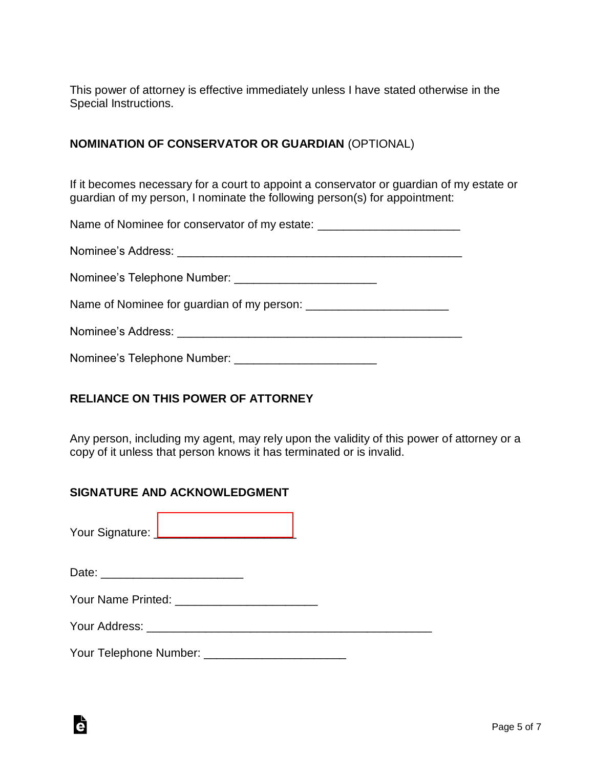This power of attorney is effective immediately unless I have stated otherwise in the Special Instructions.

### **NOMINATION OF CONSERVATOR OR GUARDIAN** (OPTIONAL)

If it becomes necessary for a court to appoint a conservator or guardian of my estate or guardian of my person, I nominate the following person(s) for appointment:

Name of Nominee for conservator of my estate: \_\_\_\_\_\_\_\_\_\_\_\_\_\_\_\_\_\_\_\_\_\_\_\_\_\_\_\_\_\_\_\_\_\_

Nominee's Address: \_\_\_\_\_\_\_\_\_\_\_\_\_\_\_\_\_\_\_\_\_\_\_\_\_\_\_\_\_\_\_\_\_\_\_\_\_\_\_\_\_\_\_\_

Nominee's Telephone Number:

Name of Nominee for quardian of my person:

Nominee's Address: \_\_\_\_\_\_\_\_\_\_\_\_\_\_\_\_\_\_\_\_\_\_\_\_\_\_\_\_\_\_\_\_\_\_\_\_\_\_\_\_\_\_\_\_

Nominee's Telephone Number:

# **RELIANCE ON THIS POWER OF ATTORNEY**

Any person, including my agent, may rely upon the validity of this power of attorney or a copy of it unless that person knows it has terminated or is invalid.

### **SIGNATURE AND ACKNOWLEDGMENT**

Your Signature: [\\_\\_\\_\\_\\_\\_\\_\\_\\_\\_\\_\\_\\_\\_\\_\\_\\_\\_\\_\\_\\_\\_](www.esign.com)

| Date: |  |
|-------|--|
|       |  |

à

| Your Name Printed: |  |
|--------------------|--|
|--------------------|--|

Your Address: \_\_\_\_\_\_\_\_\_\_\_\_\_\_\_\_\_\_\_\_\_\_\_\_\_\_\_\_\_\_\_\_\_\_\_\_\_\_\_\_\_\_\_\_

Your Telephone Number: \_\_\_\_\_\_\_\_\_\_\_\_\_\_\_\_\_\_\_\_\_\_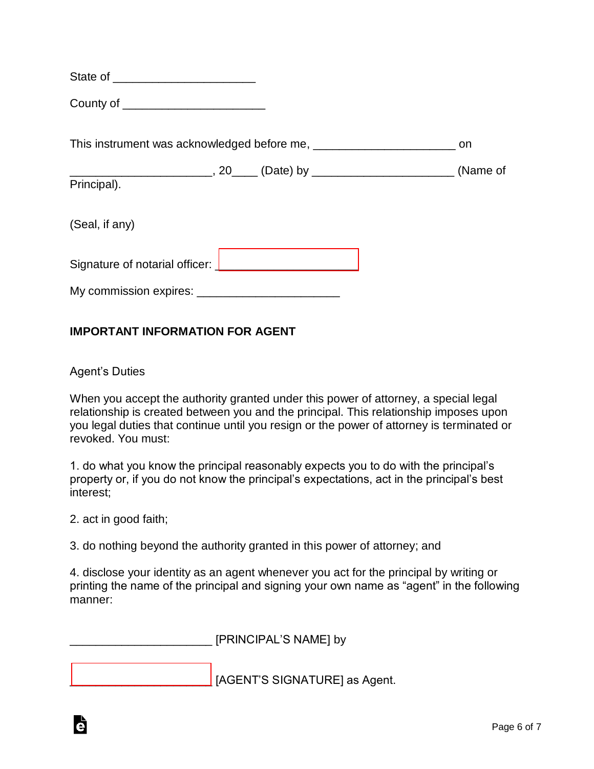| State of |
|----------|
|----------|

County of \_\_\_\_\_\_\_\_\_\_\_\_\_\_\_\_\_\_\_\_\_\_

This instrument was acknowledged before me, \_\_\_\_\_\_\_\_\_\_\_\_\_\_\_\_\_\_\_\_\_\_\_\_\_\_\_\_\_\_\_\_ on

\_\_\_\_\_\_\_\_\_\_\_\_\_\_\_\_\_\_\_\_\_\_, 20\_\_\_\_ (Date) by \_\_\_\_\_\_\_\_\_\_\_\_\_\_\_\_\_\_\_\_\_\_ (Name of

Principal).

(Seal, if any)

Signature of notarial officer: [\\_\\_\\_\\_\\_\\_\\_\\_\\_\\_\\_\\_\\_\\_\\_\\_\\_\\_\\_\\_\\_\\_](www.esign.com)

My commission expires: **EXALL** 

### **IMPORTANT INFORMATION FOR AGENT**

Agent's Duties

When you accept the authority granted under this power of attorney, a special legal relationship is created between you and the principal. This relationship imposes upon you legal duties that continue until you resign or the power of attorney is terminated or revoked. You must:

1. do what you know the principal reasonably expects you to do with the principal's property or, if you do not know the principal's expectations, act in the principal's best interest;

2. act in good faith;

à

3. do nothing beyond the authority granted in this power of attorney; and

4. disclose your identity as an agent whenever you act for the principal by writing or printing the name of the principal and signing your own name as "agent" in the following manner:

\_\_\_\_\_\_\_\_\_\_\_\_\_\_\_\_\_\_\_\_\_\_ [PRINCIPAL'S NAME] by

[\\_\\_\\_\\_\\_\\_\\_\\_\\_\\_\\_\\_\\_\\_\\_\\_\\_\\_\\_\\_\\_\\_](www.esign.com) [AGENT'S SIGNATURE] as Agent.